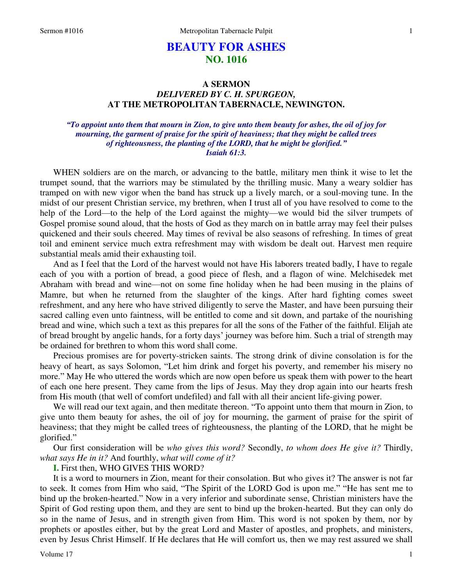# **BEAUTY FOR ASHES NO. 1016**

## **A SERMON**  *DELIVERED BY C. H. SPURGEON,*  **AT THE METROPOLITAN TABERNACLE, NEWINGTON.**

### *"To appoint unto them that mourn in Zion, to give unto them beauty for ashes, the oil of joy for mourning, the garment of praise for the spirit of heaviness; that they might be called trees of righteousness, the planting of the LORD, that he might be glorified." Isaiah 61:3.*

WHEN soldiers are on the march, or advancing to the battle, military men think it wise to let the trumpet sound, that the warriors may be stimulated by the thrilling music. Many a weary soldier has tramped on with new vigor when the band has struck up a lively march, or a soul-moving tune. In the midst of our present Christian service, my brethren, when I trust all of you have resolved to come to the help of the Lord—to the help of the Lord against the mighty—we would bid the silver trumpets of Gospel promise sound aloud, that the hosts of God as they march on in battle array may feel their pulses quickened and their souls cheered. May times of revival be also seasons of refreshing. In times of great toil and eminent service much extra refreshment may with wisdom be dealt out. Harvest men require substantial meals amid their exhausting toil.

And as I feel that the Lord of the harvest would not have His laborers treated badly, I have to regale each of you with a portion of bread, a good piece of flesh, and a flagon of wine. Melchisedek met Abraham with bread and wine—not on some fine holiday when he had been musing in the plains of Mamre, but when he returned from the slaughter of the kings. After hard fighting comes sweet refreshment, and any here who have strived diligently to serve the Master, and have been pursuing their sacred calling even unto faintness, will be entitled to come and sit down, and partake of the nourishing bread and wine, which such a text as this prepares for all the sons of the Father of the faithful. Elijah ate of bread brought by angelic hands, for a forty days' journey was before him. Such a trial of strength may be ordained for brethren to whom this word shall come.

Precious promises are for poverty-stricken saints. The strong drink of divine consolation is for the heavy of heart, as says Solomon, "Let him drink and forget his poverty, and remember his misery no more." May He who uttered the words which are now open before us speak them with power to the heart of each one here present. They came from the lips of Jesus. May they drop again into our hearts fresh from His mouth (that well of comfort undefiled) and fall with all their ancient life-giving power.

We will read our text again, and then meditate thereon. "To appoint unto them that mourn in Zion, to give unto them beauty for ashes, the oil of joy for mourning, the garment of praise for the spirit of heaviness; that they might be called trees of righteousness, the planting of the LORD, that he might be glorified."

Our first consideration will be *who gives this word?* Secondly, *to whom does He give it?* Thirdly, *what says He in it?* And fourthly, *what will come of it?*

**I.** First then, WHO GIVES THIS WORD?

It is a word to mourners in Zion, meant for their consolation. But who gives it? The answer is not far to seek. It comes from Him who said, "The Spirit of the LORD God is upon me." "He has sent me to bind up the broken-hearted." Now in a very inferior and subordinate sense, Christian ministers have the Spirit of God resting upon them, and they are sent to bind up the broken-hearted. But they can only do so in the name of Jesus, and in strength given from Him. This word is not spoken by them, nor by prophets or apostles either, but by the great Lord and Master of apostles, and prophets, and ministers, even by Jesus Christ Himself. If He declares that He will comfort us, then we may rest assured we shall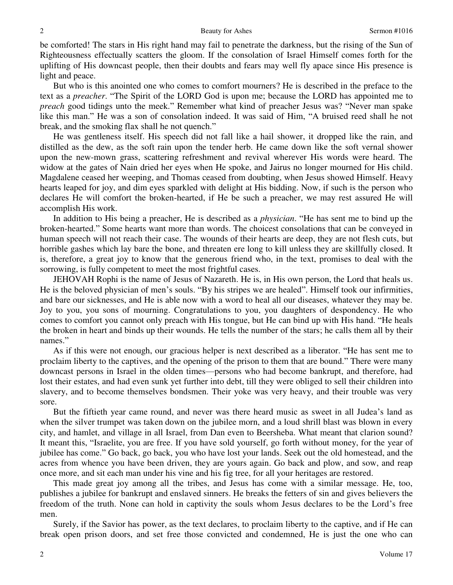#### Beauty for Ashes Sermon #1016

be comforted! The stars in His right hand may fail to penetrate the darkness, but the rising of the Sun of Righteousness effectually scatters the gloom. If the consolation of Israel Himself comes forth for the uplifting of His downcast people, then their doubts and fears may well fly apace since His presence is light and peace.

But who is this anointed one who comes to comfort mourners? He is described in the preface to the text as a *preacher*. "The Spirit of the LORD God is upon me; because the LORD has appointed me to *preach* good tidings unto the meek." Remember what kind of preacher Jesus was? "Never man spake like this man." He was a son of consolation indeed. It was said of Him, "A bruised reed shall he not break, and the smoking flax shall he not quench."

He was gentleness itself. His speech did not fall like a hail shower, it dropped like the rain, and distilled as the dew, as the soft rain upon the tender herb. He came down like the soft vernal shower upon the new-mown grass, scattering refreshment and revival wherever His words were heard. The widow at the gates of Nain dried her eyes when He spoke, and Jairus no longer mourned for His child. Magdalene ceased her weeping, and Thomas ceased from doubting, when Jesus showed Himself. Heavy hearts leaped for joy, and dim eyes sparkled with delight at His bidding. Now, if such is the person who declares He will comfort the broken-hearted, if He be such a preacher, we may rest assured He will accomplish His work.

In addition to His being a preacher, He is described as a *physician*. "He has sent me to bind up the broken-hearted." Some hearts want more than words. The choicest consolations that can be conveyed in human speech will not reach their case. The wounds of their hearts are deep, they are not flesh cuts, but horrible gashes which lay bare the bone, and threaten ere long to kill unless they are skillfully closed. It is, therefore, a great joy to know that the generous friend who, in the text, promises to deal with the sorrowing, is fully competent to meet the most frightful cases.

JEHOVAH Rophi is the name of Jesus of Nazareth. He is, in His own person, the Lord that heals us. He is the beloved physician of men's souls. "By his stripes we are healed". Himself took our infirmities, and bare our sicknesses, and He is able now with a word to heal all our diseases, whatever they may be. Joy to you, you sons of mourning. Congratulations to you, you daughters of despondency. He who comes to comfort you cannot only preach with His tongue, but He can bind up with His hand. "He heals the broken in heart and binds up their wounds. He tells the number of the stars; he calls them all by their names."

As if this were not enough, our gracious helper is next described as a liberator. "He has sent me to proclaim liberty to the captives, and the opening of the prison to them that are bound." There were many downcast persons in Israel in the olden times—persons who had become bankrupt, and therefore, had lost their estates, and had even sunk yet further into debt, till they were obliged to sell their children into slavery, and to become themselves bondsmen. Their yoke was very heavy, and their trouble was very sore.

But the fiftieth year came round, and never was there heard music as sweet in all Judea's land as when the silver trumpet was taken down on the jubilee morn, and a loud shrill blast was blown in every city, and hamlet, and village in all Israel, from Dan even to Beersheba. What meant that clarion sound? It meant this, "Israelite, you are free. If you have sold yourself, go forth without money, for the year of jubilee has come." Go back, go back, you who have lost your lands. Seek out the old homestead, and the acres from whence you have been driven, they are yours again. Go back and plow, and sow, and reap once more, and sit each man under his vine and his fig tree, for all your heritages are restored.

This made great joy among all the tribes, and Jesus has come with a similar message. He, too, publishes a jubilee for bankrupt and enslaved sinners. He breaks the fetters of sin and gives believers the freedom of the truth. None can hold in captivity the souls whom Jesus declares to be the Lord's free men.

Surely, if the Savior has power, as the text declares, to proclaim liberty to the captive, and if He can break open prison doors, and set free those convicted and condemned, He is just the one who can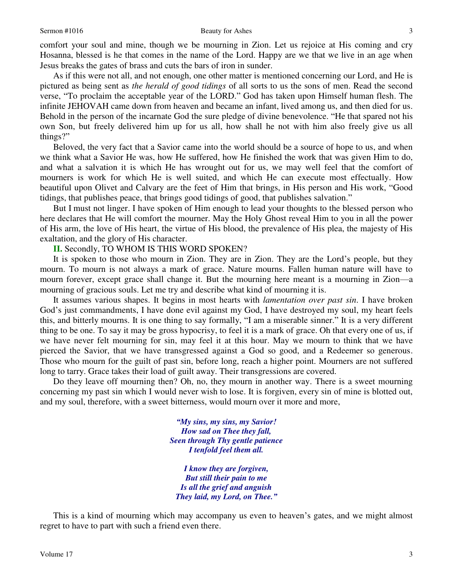comfort your soul and mine, though we be mourning in Zion. Let us rejoice at His coming and cry Hosanna, blessed is he that comes in the name of the Lord. Happy are we that we live in an age when Jesus breaks the gates of brass and cuts the bars of iron in sunder.

As if this were not all, and not enough, one other matter is mentioned concerning our Lord, and He is pictured as being sent as *the herald of good tidings* of all sorts to us the sons of men. Read the second verse, "To proclaim the acceptable year of the LORD." God has taken upon Himself human flesh. The infinite JEHOVAH came down from heaven and became an infant, lived among us, and then died for us. Behold in the person of the incarnate God the sure pledge of divine benevolence. "He that spared not his own Son, but freely delivered him up for us all, how shall he not with him also freely give us all things?"

Beloved, the very fact that a Savior came into the world should be a source of hope to us, and when we think what a Savior He was, how He suffered, how He finished the work that was given Him to do, and what a salvation it is which He has wrought out for us, we may well feel that the comfort of mourners is work for which He is well suited, and which He can execute most effectually. How beautiful upon Olivet and Calvary are the feet of Him that brings, in His person and His work, "Good tidings, that publishes peace, that brings good tidings of good, that publishes salvation."

But I must not linger. I have spoken of Him enough to lead your thoughts to the blessed person who here declares that He will comfort the mourner. May the Holy Ghost reveal Him to you in all the power of His arm, the love of His heart, the virtue of His blood, the prevalence of His plea, the majesty of His exaltation, and the glory of His character.

**II.** Secondly, TO WHOM IS THIS WORD SPOKEN?

It is spoken to those who mourn in Zion. They are in Zion. They are the Lord's people, but they mourn. To mourn is not always a mark of grace. Nature mourns. Fallen human nature will have to mourn forever, except grace shall change it. But the mourning here meant is a mourning in Zion—a mourning of gracious souls. Let me try and describe what kind of mourning it is.

It assumes various shapes. It begins in most hearts with *lamentation over past sin*. I have broken God's just commandments, I have done evil against my God, I have destroyed my soul, my heart feels this, and bitterly mourns. It is one thing to say formally, "I am a miserable sinner." It is a very different thing to be one. To say it may be gross hypocrisy, to feel it is a mark of grace. Oh that every one of us, if we have never felt mourning for sin, may feel it at this hour. May we mourn to think that we have pierced the Savior, that we have transgressed against a God so good, and a Redeemer so generous. Those who mourn for the guilt of past sin, before long, reach a higher point. Mourners are not suffered long to tarry. Grace takes their load of guilt away. Their transgressions are covered.

Do they leave off mourning then? Oh, no, they mourn in another way. There is a sweet mourning concerning my past sin which I would never wish to lose. It is forgiven, every sin of mine is blotted out, and my soul, therefore, with a sweet bitterness, would mourn over it more and more,

> *"My sins, my sins, my Savior! How sad on Thee they fall, Seen through Thy gentle patience I tenfold feel them all.*

*I know they are forgiven, But still their pain to me Is all the grief and anguish They laid, my Lord, on Thee."*

This is a kind of mourning which may accompany us even to heaven's gates, and we might almost regret to have to part with such a friend even there.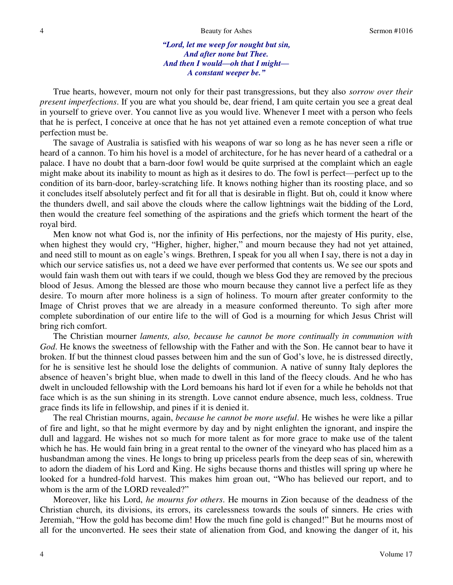*"Lord, let me weep for nought but sin, And after none but Thee. And then I would—oh that I might— A constant weeper be."*

True hearts, however, mourn not only for their past transgressions, but they also *sorrow over their present imperfections*. If you are what you should be, dear friend, I am quite certain you see a great deal in yourself to grieve over. You cannot live as you would live. Whenever I meet with a person who feels that he is perfect, I conceive at once that he has not yet attained even a remote conception of what true perfection must be.

The savage of Australia is satisfied with his weapons of war so long as he has never seen a rifle or heard of a cannon. To him his hovel is a model of architecture, for he has never heard of a cathedral or a palace. I have no doubt that a barn-door fowl would be quite surprised at the complaint which an eagle might make about its inability to mount as high as it desires to do. The fowl is perfect—perfect up to the condition of its barn-door, barley-scratching life. It knows nothing higher than its roosting place, and so it concludes itself absolutely perfect and fit for all that is desirable in flight. But oh, could it know where the thunders dwell, and sail above the clouds where the callow lightnings wait the bidding of the Lord, then would the creature feel something of the aspirations and the griefs which torment the heart of the royal bird.

Men know not what God is, nor the infinity of His perfections, nor the majesty of His purity, else, when highest they would cry, "Higher, higher, higher," and mourn because they had not yet attained, and need still to mount as on eagle's wings. Brethren, I speak for you all when I say, there is not a day in which our service satisfies us, not a deed we have ever performed that contents us. We see our spots and would fain wash them out with tears if we could, though we bless God they are removed by the precious blood of Jesus. Among the blessed are those who mourn because they cannot live a perfect life as they desire. To mourn after more holiness is a sign of holiness. To mourn after greater conformity to the Image of Christ proves that we are already in a measure conformed thereunto. To sigh after more complete subordination of our entire life to the will of God is a mourning for which Jesus Christ will bring rich comfort.

The Christian mourner *laments, also, because he cannot be more continually in communion with God*. He knows the sweetness of fellowship with the Father and with the Son. He cannot bear to have it broken. If but the thinnest cloud passes between him and the sun of God's love, he is distressed directly, for he is sensitive lest he should lose the delights of communion. A native of sunny Italy deplores the absence of heaven's bright blue, when made to dwell in this land of the fleecy clouds. And he who has dwelt in unclouded fellowship with the Lord bemoans his hard lot if even for a while he beholds not that face which is as the sun shining in its strength. Love cannot endure absence, much less, coldness. True grace finds its life in fellowship, and pines if it is denied it.

The real Christian mourns, again, *because he cannot be more useful*. He wishes he were like a pillar of fire and light, so that he might evermore by day and by night enlighten the ignorant, and inspire the dull and laggard. He wishes not so much for more talent as for more grace to make use of the talent which he has. He would fain bring in a great rental to the owner of the vineyard who has placed him as a husbandman among the vines. He longs to bring up priceless pearls from the deep seas of sin, wherewith to adorn the diadem of his Lord and King. He sighs because thorns and thistles will spring up where he looked for a hundred-fold harvest. This makes him groan out, "Who has believed our report, and to whom is the arm of the LORD revealed?"

Moreover, like his Lord, *he mourns for others*. He mourns in Zion because of the deadness of the Christian church, its divisions, its errors, its carelessness towards the souls of sinners. He cries with Jeremiah, "How the gold has become dim! How the much fine gold is changed!" But he mourns most of all for the unconverted. He sees their state of alienation from God, and knowing the danger of it, his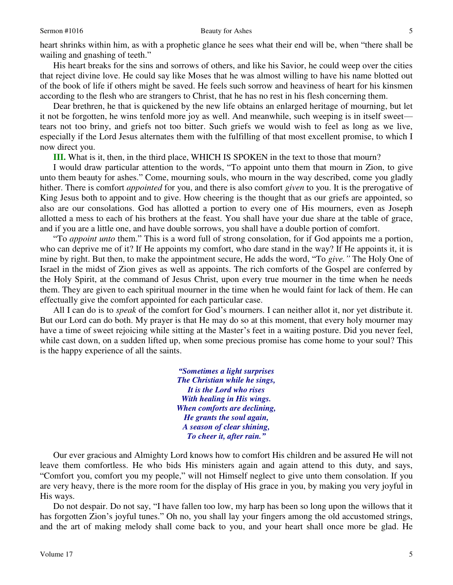heart shrinks within him, as with a prophetic glance he sees what their end will be, when "there shall be wailing and gnashing of teeth."

His heart breaks for the sins and sorrows of others, and like his Savior, he could weep over the cities that reject divine love. He could say like Moses that he was almost willing to have his name blotted out of the book of life if others might be saved. He feels such sorrow and heaviness of heart for his kinsmen according to the flesh who are strangers to Christ, that he has no rest in his flesh concerning them.

Dear brethren, he that is quickened by the new life obtains an enlarged heritage of mourning, but let it not be forgotten, he wins tenfold more joy as well. And meanwhile, such weeping is in itself sweet tears not too briny, and griefs not too bitter. Such griefs we would wish to feel as long as we live, especially if the Lord Jesus alternates them with the fulfilling of that most excellent promise, to which I now direct you.

**III.** What is it, then, in the third place, WHICH IS SPOKEN in the text to those that mourn?

I would draw particular attention to the words, "To appoint unto them that mourn in Zion, to give unto them beauty for ashes." Come, mourning souls, who mourn in the way described, come you gladly hither. There is comfort *appointed* for you, and there is also comfort *given* to you. It is the prerogative of King Jesus both to appoint and to give. How cheering is the thought that as our griefs are appointed, so also are our consolations. God has allotted a portion to every one of His mourners, even as Joseph allotted a mess to each of his brothers at the feast. You shall have your due share at the table of grace, and if you are a little one, and have double sorrows, you shall have a double portion of comfort.

"To *appoint unto* them." This is a word full of strong consolation, for if God appoints me a portion, who can deprive me of it? If He appoints my comfort, who dare stand in the way? If He appoints it, it is mine by right. But then, to make the appointment secure, He adds the word, "To *give."* The Holy One of Israel in the midst of Zion gives as well as appoints. The rich comforts of the Gospel are conferred by the Holy Spirit, at the command of Jesus Christ, upon every true mourner in the time when he needs them. They are given to each spiritual mourner in the time when he would faint for lack of them. He can effectually give the comfort appointed for each particular case.

All I can do is to *speak* of the comfort for God's mourners. I can neither allot it, nor yet distribute it. But our Lord can do both. My prayer is that He may do so at this moment, that every holy mourner may have a time of sweet rejoicing while sitting at the Master's feet in a waiting posture. Did you never feel, while cast down, on a sudden lifted up, when some precious promise has come home to your soul? This is the happy experience of all the saints.

> *"Sometimes a light surprises The Christian while he sings, It is the Lord who rises With healing in His wings. When comforts are declining, He grants the soul again, A season of clear shining, To cheer it, after rain."*

Our ever gracious and Almighty Lord knows how to comfort His children and be assured He will not leave them comfortless. He who bids His ministers again and again attend to this duty, and says, "Comfort you, comfort you my people," will not Himself neglect to give unto them consolation. If you are very heavy, there is the more room for the display of His grace in you, by making you very joyful in His ways.

Do not despair. Do not say, "I have fallen too low, my harp has been so long upon the willows that it has forgotten Zion's joyful tunes." Oh no, you shall lay your fingers among the old accustomed strings, and the art of making melody shall come back to you, and your heart shall once more be glad. He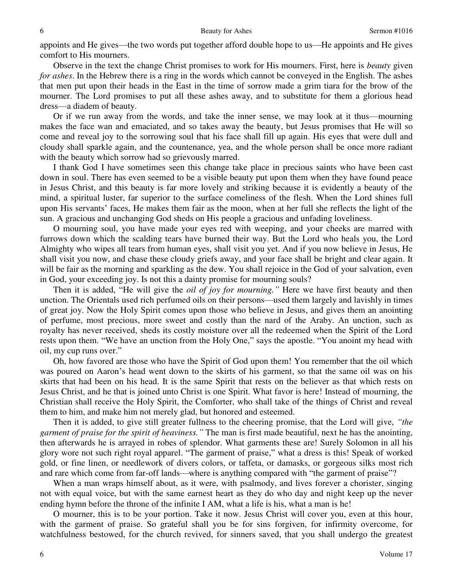appoints and He gives—the two words put together afford double hope to us—He appoints and He gives comfort to His mourners.

Observe in the text the change Christ promises to work for His mourners. First, here is *beauty* given *for ashes*. In the Hebrew there is a ring in the words which cannot be conveyed in the English. The ashes that men put upon their heads in the East in the time of sorrow made a grim tiara for the brow of the mourner. The Lord promises to put all these ashes away, and to substitute for them a glorious head dress—a diadem of beauty.

Or if we run away from the words, and take the inner sense, we may look at it thus—mourning makes the face wan and emaciated, and so takes away the beauty, but Jesus promises that He will so come and reveal joy to the sorrowing soul that his face shall fill up again. His eyes that were dull and cloudy shall sparkle again, and the countenance, yea, and the whole person shall be once more radiant with the beauty which sorrow had so grievously marred.

I thank God I have sometimes seen this change take place in precious saints who have been cast down in soul. There has even seemed to be a visible beauty put upon them when they have found peace in Jesus Christ, and this beauty is far more lovely and striking because it is evidently a beauty of the mind, a spiritual luster, far superior to the surface comeliness of the flesh. When the Lord shines full upon His servants' faces, He makes them fair as the moon, when at her full she reflects the light of the sun. A gracious and unchanging God sheds on His people a gracious and unfading loveliness.

O mourning soul, you have made your eyes red with weeping, and your cheeks are marred with furrows down which the scalding tears have burned their way. But the Lord who heals you, the Lord Almighty who wipes all tears from human eyes, shall visit you yet. And if you now believe in Jesus, He shall visit you now, and chase these cloudy griefs away, and your face shall be bright and clear again. It will be fair as the morning and sparkling as the dew. You shall rejoice in the God of your salvation, even in God, your exceeding joy. Is not this a dainty promise for mourning souls?

Then it is added, "He will give the *oil of joy for mourning."* Here we have first beauty and then unction. The Orientals used rich perfumed oils on their persons—used them largely and lavishly in times of great joy. Now the Holy Spirit comes upon those who believe in Jesus, and gives them an anointing of perfume, most precious, more sweet and costly than the nard of the Araby. An unction, such as royalty has never received, sheds its costly moisture over all the redeemed when the Spirit of the Lord rests upon them. "We have an unction from the Holy One," says the apostle. "You anoint my head with oil, my cup runs over."

Oh, how favored are those who have the Spirit of God upon them! You remember that the oil which was poured on Aaron's head went down to the skirts of his garment, so that the same oil was on his skirts that had been on his head. It is the same Spirit that rests on the believer as that which rests on Jesus Christ, and he that is joined unto Christ is one Spirit. What favor is here! Instead of mourning, the Christian shall receive the Holy Spirit, the Comforter, who shall take of the things of Christ and reveal them to him, and make him not merely glad, but honored and esteemed.

Then it is added, to give still greater fullness to the cheering promise, that the Lord will give, *"the garment of praise for the spirit of heaviness."* The man is first made beautiful, next he has the anointing, then afterwards he is arrayed in robes of splendor. What garments these are! Surely Solomon in all his glory wore not such right royal apparel. "The garment of praise," what a dress is this! Speak of worked gold, or fine linen, or needlework of divers colors, or taffeta, or damasks, or gorgeous silks most rich and rare which come from far-off lands—where is anything compared with "the garment of praise"?

When a man wraps himself about, as it were, with psalmody, and lives forever a chorister, singing not with equal voice, but with the same earnest heart as they do who day and night keep up the never ending hymn before the throne of the infinite I AM, what a life is his, what a man is he!

O mourner, this is to be your portion. Take it now. Jesus Christ will cover you, even at this hour, with the garment of praise. So grateful shall you be for sins forgiven, for infirmity overcome, for watchfulness bestowed, for the church revived, for sinners saved, that you shall undergo the greatest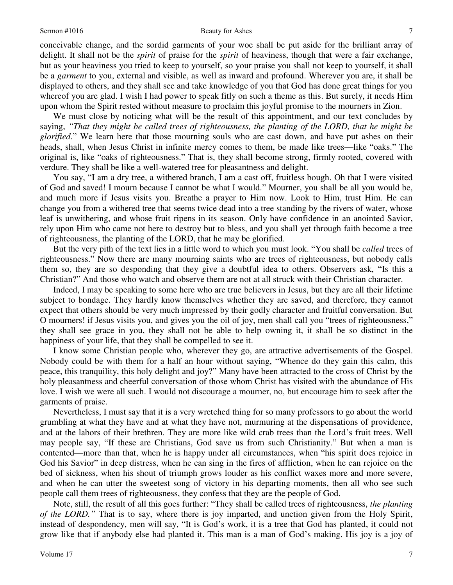#### Sermon #1016 Beauty for Ashes

conceivable change, and the sordid garments of your woe shall be put aside for the brilliant array of delight. It shall not be the *spirit* of praise for the *spirit* of heaviness, though that were a fair exchange, but as your heaviness you tried to keep to yourself, so your praise you shall not keep to yourself, it shall be a *garment* to you, external and visible, as well as inward and profound. Wherever you are, it shall be displayed to others, and they shall see and take knowledge of you that God has done great things for you whereof you are glad. I wish I had power to speak fitly on such a theme as this. But surely, it needs Him upon whom the Spirit rested without measure to proclaim this joyful promise to the mourners in Zion.

We must close by noticing what will be the result of this appointment, and our text concludes by saying, *"That they might be called trees of righteousness, the planting of the LORD, that he might be glorified*." We learn here that those mourning souls who are cast down, and have put ashes on their heads, shall, when Jesus Christ in infinite mercy comes to them, be made like trees—like "oaks." The original is, like "oaks of righteousness." That is, they shall become strong, firmly rooted, covered with verdure. They shall be like a well-watered tree for pleasantness and delight.

You say, "I am a dry tree, a withered branch, I am a cast off, fruitless bough. Oh that I were visited of God and saved! I mourn because I cannot be what I would." Mourner, you shall be all you would be, and much more if Jesus visits you. Breathe a prayer to Him now. Look to Him, trust Him. He can change you from a withered tree that seems twice dead into a tree standing by the rivers of water, whose leaf is unwithering, and whose fruit ripens in its season. Only have confidence in an anointed Savior, rely upon Him who came not here to destroy but to bless, and you shall yet through faith become a tree of righteousness, the planting of the LORD, that he may be glorified.

But the very pith of the text lies in a little word to which you must look. "You shall be *called* trees of righteousness." Now there are many mourning saints who are trees of righteousness, but nobody calls them so, they are so desponding that they give a doubtful idea to others. Observers ask, "Is this a Christian?" And those who watch and observe them are not at all struck with their Christian character.

Indeed, I may be speaking to some here who are true believers in Jesus, but they are all their lifetime subject to bondage. They hardly know themselves whether they are saved, and therefore, they cannot expect that others should be very much impressed by their godly character and fruitful conversation. But O mourners! if Jesus visits you, and gives you the oil of joy, men shall call you "trees of righteousness," they shall see grace in you, they shall not be able to help owning it, it shall be so distinct in the happiness of your life, that they shall be compelled to see it.

I know some Christian people who, wherever they go, are attractive advertisements of the Gospel. Nobody could be with them for a half an hour without saying, "Whence do they gain this calm, this peace, this tranquility, this holy delight and joy?" Many have been attracted to the cross of Christ by the holy pleasantness and cheerful conversation of those whom Christ has visited with the abundance of His love. I wish we were all such. I would not discourage a mourner, no, but encourage him to seek after the garments of praise.

Nevertheless, I must say that it is a very wretched thing for so many professors to go about the world grumbling at what they have and at what they have not, murmuring at the dispensations of providence, and at the labors of their brethren. They are more like wild crab trees than the Lord's fruit trees. Well may people say, "If these are Christians, God save us from such Christianity." But when a man is contented—more than that, when he is happy under all circumstances, when "his spirit does rejoice in God his Savior" in deep distress, when he can sing in the fires of affliction, when he can rejoice on the bed of sickness, when his shout of triumph grows louder as his conflict waxes more and more severe, and when he can utter the sweetest song of victory in his departing moments, then all who see such people call them trees of righteousness, they confess that they are the people of God.

Note, still, the result of all this goes further: "They shall be called trees of righteousness, *the planting of the LORD."* That is to say, where there is joy imparted, and unction given from the Holy Spirit, instead of despondency, men will say, "It is God's work, it is a tree that God has planted, it could not grow like that if anybody else had planted it. This man is a man of God's making. His joy is a joy of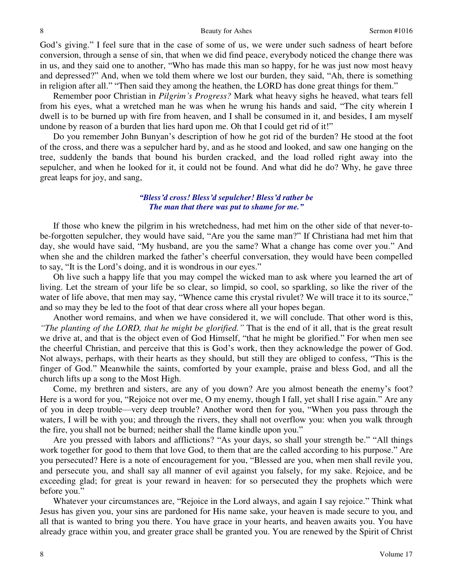God's giving." I feel sure that in the case of some of us, we were under such sadness of heart before conversion, through a sense of sin, that when we did find peace, everybody noticed the change there was in us, and they said one to another, "Who has made this man so happy, for he was just now most heavy and depressed?" And, when we told them where we lost our burden, they said, "Ah, there is something in religion after all." "Then said they among the heathen, the LORD has done great things for them."

Remember poor Christian in *Pilgrim's Progress?* Mark what heavy sighs he heaved, what tears fell from his eyes, what a wretched man he was when he wrung his hands and said, "The city wherein I dwell is to be burned up with fire from heaven, and I shall be consumed in it, and besides, I am myself undone by reason of a burden that lies hard upon me. Oh that I could get rid of it!"

Do you remember John Bunyan's description of how he got rid of the burden? He stood at the foot of the cross, and there was a sepulcher hard by, and as he stood and looked, and saw one hanging on the tree, suddenly the bands that bound his burden cracked, and the load rolled right away into the sepulcher, and when he looked for it, it could not be found. And what did he do? Why, he gave three great leaps for joy, and sang,

### *"Bless'd cross! Bless'd sepulcher! Bless'd rather be The man that there was put to shame for me."*

If those who knew the pilgrim in his wretchedness, had met him on the other side of that never-tobe-forgotten sepulcher, they would have said, "Are you the same man?" If Christiana had met him that day, she would have said, "My husband, are you the same? What a change has come over you." And when she and the children marked the father's cheerful conversation, they would have been compelled to say, "It is the Lord's doing, and it is wondrous in our eyes."

Oh live such a happy life that you may compel the wicked man to ask where you learned the art of living. Let the stream of your life be so clear, so limpid, so cool, so sparkling, so like the river of the water of life above, that men may say, "Whence came this crystal rivulet? We will trace it to its source," and so may they be led to the foot of that dear cross where all your hopes began.

Another word remains, and when we have considered it, we will conclude. That other word is this, *"The planting of the LORD, that he might be glorified."* That is the end of it all, that is the great result we drive at, and that is the object even of God Himself, "that he might be glorified." For when men see the cheerful Christian, and perceive that this is God's work, then they acknowledge the power of God. Not always, perhaps, with their hearts as they should, but still they are obliged to confess, "This is the finger of God." Meanwhile the saints, comforted by your example, praise and bless God, and all the church lifts up a song to the Most High.

Come, my brethren and sisters, are any of you down? Are you almost beneath the enemy's foot? Here is a word for you, "Rejoice not over me, O my enemy, though I fall, yet shall I rise again." Are any of you in deep trouble—very deep trouble? Another word then for you, "When you pass through the waters, I will be with you; and through the rivers, they shall not overflow you: when you walk through the fire, you shall not be burned; neither shall the flame kindle upon you."

Are you pressed with labors and afflictions? "As your days, so shall your strength be." "All things work together for good to them that love God, to them that are the called according to his purpose." Are you persecuted? Here is a note of encouragement for you, "Blessed are you, when men shall revile you, and persecute you, and shall say all manner of evil against you falsely, for my sake. Rejoice, and be exceeding glad; for great is your reward in heaven: for so persecuted they the prophets which were before you."

Whatever your circumstances are, "Rejoice in the Lord always, and again I say rejoice." Think what Jesus has given you, your sins are pardoned for His name sake, your heaven is made secure to you, and all that is wanted to bring you there. You have grace in your hearts, and heaven awaits you. You have already grace within you, and greater grace shall be granted you. You are renewed by the Spirit of Christ